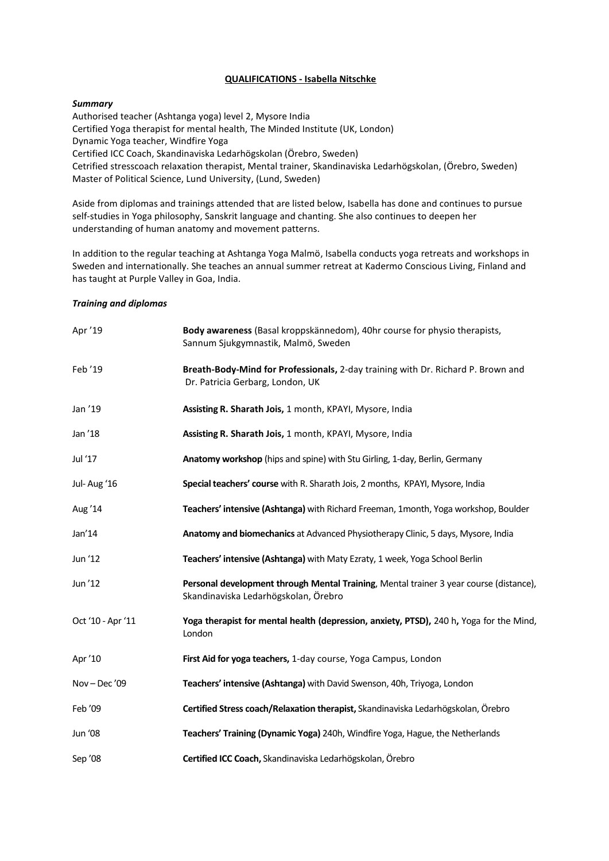## **QUALIFICATIONS - Isabella Nitschke**

## *Summary*

Authorised teacher (Ashtanga yoga) level 2, Mysore India Certified Yoga therapist for mental health, The Minded Institute (UK, London) Dynamic Yoga teacher, Windfire Yoga Certified ICC Coach, Skandinaviska Ledarhögskolan (Örebro, Sweden) Cetrified stresscoach relaxation therapist, Mental trainer, Skandinaviska Ledarhögskolan, (Örebro, Sweden) Master of Political Science, Lund University, (Lund, Sweden)

Aside from diplomas and trainings attended that are listed below, Isabella has done and continues to pursue self-studies in Yoga philosophy, Sanskrit language and chanting. She also continues to deepen her understanding of human anatomy and movement patterns.

In addition to the regular teaching at Ashtanga Yoga Malmö, Isabella conducts yoga retreats and workshops in Sweden and internationally. She teaches an annual summer retreat at Kadermo Conscious Living, Finland and has taught at Purple Valley in Goa, India.

## *Training and diplomas*

| Apr '19           | Body awareness (Basal kroppskännedom), 40hr course for physio therapists,<br>Sannum Sjukgymnastik, Malmö, Sweden               |
|-------------------|--------------------------------------------------------------------------------------------------------------------------------|
| Feb '19           | Breath-Body-Mind for Professionals, 2-day training with Dr. Richard P. Brown and<br>Dr. Patricia Gerbarg, London, UK           |
| Jan '19           | Assisting R. Sharath Jois, 1 month, KPAYI, Mysore, India                                                                       |
| Jan '18           | Assisting R. Sharath Jois, 1 month, KPAYI, Mysore, India                                                                       |
| Jul '17           | Anatomy workshop (hips and spine) with Stu Girling, 1-day, Berlin, Germany                                                     |
| Jul-Aug '16       | Special teachers' course with R. Sharath Jois, 2 months, KPAYI, Mysore, India                                                  |
| Aug '14           | Teachers' intensive (Ashtanga) with Richard Freeman, 1month, Yoga workshop, Boulder                                            |
| Jan'14            | Anatomy and biomechanics at Advanced Physiotherapy Clinic, 5 days, Mysore, India                                               |
| Jun '12           | Teachers' intensive (Ashtanga) with Maty Ezraty, 1 week, Yoga School Berlin                                                    |
| Jun '12           | Personal development through Mental Training, Mental trainer 3 year course (distance),<br>Skandinaviska Ledarhögskolan, Örebro |
| Oct '10 - Apr '11 | Yoga therapist for mental health (depression, anxiety, PTSD), 240 h, Yoga for the Mind,<br>London                              |
| Apr '10           | First Aid for yoga teachers, 1-day course, Yoga Campus, London                                                                 |
| Nov-Dec'09        | Teachers' intensive (Ashtanga) with David Swenson, 40h, Triyoga, London                                                        |
| Feb '09           | Certified Stress coach/Relaxation therapist, Skandinaviska Ledarhögskolan, Örebro                                              |
| Jun '08           | Teachers' Training (Dynamic Yoga) 240h, Windfire Yoga, Hague, the Netherlands                                                  |
| Sep '08           | Certified ICC Coach, Skandinaviska Ledarhögskolan, Örebro                                                                      |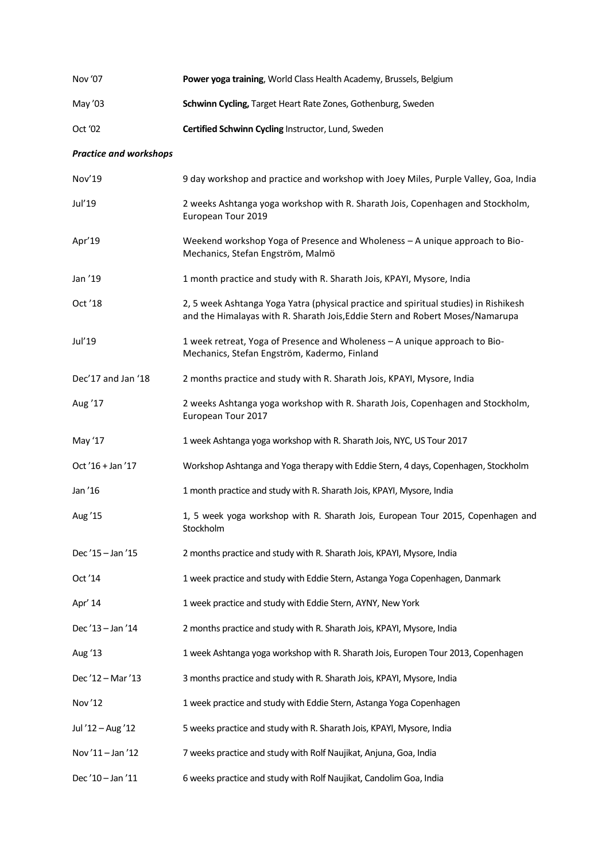| Nov '07                       | Power yoga training, World Class Health Academy, Brussels, Belgium                                                                                                    |
|-------------------------------|-----------------------------------------------------------------------------------------------------------------------------------------------------------------------|
| May '03                       | Schwinn Cycling, Target Heart Rate Zones, Gothenburg, Sweden                                                                                                          |
| Oct '02                       | Certified Schwinn Cycling Instructor, Lund, Sweden                                                                                                                    |
| <b>Practice and workshops</b> |                                                                                                                                                                       |
| Nov'19                        | 9 day workshop and practice and workshop with Joey Miles, Purple Valley, Goa, India                                                                                   |
| Jul'19                        | 2 weeks Ashtanga yoga workshop with R. Sharath Jois, Copenhagen and Stockholm,<br>European Tour 2019                                                                  |
| Apr'19                        | Weekend workshop Yoga of Presence and Wholeness - A unique approach to Bio-<br>Mechanics, Stefan Engström, Malmö                                                      |
| Jan '19                       | 1 month practice and study with R. Sharath Jois, KPAYI, Mysore, India                                                                                                 |
| Oct '18                       | 2, 5 week Ashtanga Yoga Yatra (physical practice and spiritual studies) in Rishikesh<br>and the Himalayas with R. Sharath Jois, Eddie Stern and Robert Moses/Namarupa |
| Jul'19                        | 1 week retreat, Yoga of Presence and Wholeness - A unique approach to Bio-<br>Mechanics, Stefan Engström, Kadermo, Finland                                            |
| Dec'17 and Jan '18            | 2 months practice and study with R. Sharath Jois, KPAYI, Mysore, India                                                                                                |
| Aug '17                       | 2 weeks Ashtanga yoga workshop with R. Sharath Jois, Copenhagen and Stockholm,<br>European Tour 2017                                                                  |
| May '17                       | 1 week Ashtanga yoga workshop with R. Sharath Jois, NYC, US Tour 2017                                                                                                 |
| Oct '16 + Jan '17             | Workshop Ashtanga and Yoga therapy with Eddie Stern, 4 days, Copenhagen, Stockholm                                                                                    |
| Jan '16                       | 1 month practice and study with R. Sharath Jois, KPAYI, Mysore, India                                                                                                 |
| Aug '15                       | 1, 5 week yoga workshop with R. Sharath Jois, European Tour 2015, Copenhagen and<br>Stockholm                                                                         |
| Dec '15 - Jan '15             | 2 months practice and study with R. Sharath Jois, KPAYI, Mysore, India                                                                                                |
| Oct '14                       | 1 week practice and study with Eddie Stern, Astanga Yoga Copenhagen, Danmark                                                                                          |
| Apr' 14                       | 1 week practice and study with Eddie Stern, AYNY, New York                                                                                                            |
| Dec'13-Jan'14                 | 2 months practice and study with R. Sharath Jois, KPAYI, Mysore, India                                                                                                |
| Aug '13                       | 1 week Ashtanga yoga workshop with R. Sharath Jois, Europen Tour 2013, Copenhagen                                                                                     |
| Dec'12 - Mar'13               | 3 months practice and study with R. Sharath Jois, KPAYI, Mysore, India                                                                                                |
| Nov'12                        | 1 week practice and study with Eddie Stern, Astanga Yoga Copenhagen                                                                                                   |
| Jul '12 - Aug '12             | 5 weeks practice and study with R. Sharath Jois, KPAYI, Mysore, India                                                                                                 |
| Nov'11 - Jan '12              | 7 weeks practice and study with Rolf Naujikat, Anjuna, Goa, India                                                                                                     |
| Dec'10-Jan'11                 | 6 weeks practice and study with Rolf Naujikat, Candolim Goa, India                                                                                                    |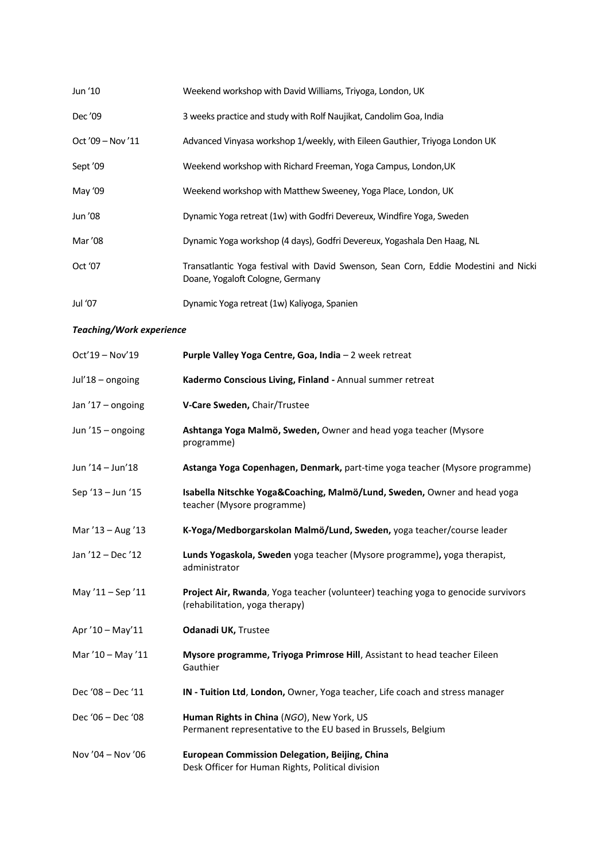| Jun '10           | Weekend workshop with David Williams, Triyoga, London, UK                                                                |
|-------------------|--------------------------------------------------------------------------------------------------------------------------|
| Dec '09           | 3 weeks practice and study with Rolf Naujikat, Candolim Goa, India                                                       |
| $Oct'09 - Nov'11$ | Advanced Vinyasa workshop 1/weekly, with Eileen Gauthier, Triyoga London UK                                              |
| Sept '09          | Weekend workshop with Richard Freeman, Yoga Campus, London, UK                                                           |
| May '09           | Weekend workshop with Matthew Sweeney, Yoga Place, London, UK                                                            |
| Jun '08           | Dynamic Yoga retreat (1w) with Godfri Devereux, Windfire Yoga, Sweden                                                    |
| Mar '08           | Dynamic Yoga workshop (4 days), Godfri Devereux, Yogashala Den Haag, NL                                                  |
| Oct '07           | Transatlantic Yoga festival with David Swenson, Sean Corn, Eddie Modestini and Nicki<br>Doane, Yogaloft Cologne, Germany |
| Jul '07           | Dynamic Yoga retreat (1w) Kaliyoga, Spanien                                                                              |

## *Teaching/Work experience*

| Oct'19 - Nov'19   | Purple Valley Yoga Centre, Goa, India - 2 week retreat                                                              |
|-------------------|---------------------------------------------------------------------------------------------------------------------|
| Jul'18 - ongoing  | Kadermo Conscious Living, Finland - Annual summer retreat                                                           |
| Jan '17 - ongoing | V-Care Sweden, Chair/Trustee                                                                                        |
| Jun '15 - ongoing | Ashtanga Yoga Malmö, Sweden, Owner and head yoga teacher (Mysore<br>programme)                                      |
| Jun '14 - Jun'18  | Astanga Yoga Copenhagen, Denmark, part-time yoga teacher (Mysore programme)                                         |
| Sep '13 - Jun '15 | Isabella Nitschke Yoga&Coaching, Malmö/Lund, Sweden, Owner and head yoga<br>teacher (Mysore programme)              |
| Mar '13 - Aug '13 | K-Yoga/Medborgarskolan Malmö/Lund, Sweden, yoga teacher/course leader                                               |
| Jan '12 - Dec '12 | Lunds Yogaskola, Sweden yoga teacher (Mysore programme), yoga therapist,<br>administrator                           |
| May '11 - Sep '11 | Project Air, Rwanda, Yoga teacher (volunteer) teaching yoga to genocide survivors<br>(rehabilitation, yoga therapy) |
| Apr '10 - May'11  | <b>Odanadi UK, Trustee</b>                                                                                          |
| Mar '10 - May '11 | Mysore programme, Triyoga Primrose Hill, Assistant to head teacher Eileen<br>Gauthier                               |
| Dec '08 - Dec '11 | IN - Tuition Ltd, London, Owner, Yoga teacher, Life coach and stress manager                                        |
| Dec '06 - Dec '08 | Human Rights in China (NGO), New York, US<br>Permanent representative to the EU based in Brussels, Belgium          |
| Nov '04 - Nov '06 | <b>European Commission Delegation, Beijing, China</b><br>Desk Officer for Human Rights, Political division          |